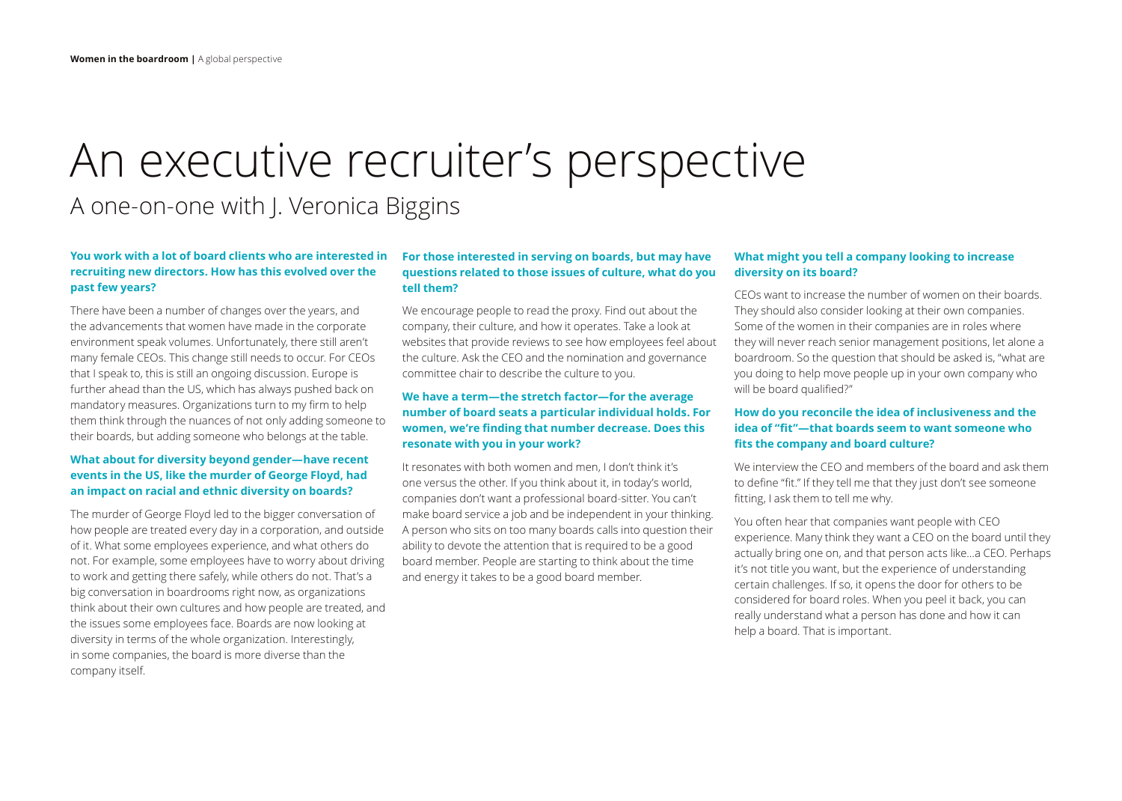# An executive recruiter's perspective A one-on-one with J. Veronica Biggins

# **You work with a lot of board clients who are interested in recruiting new directors. How has this evolved over the past few years?**

There have been a number of changes over the years, and the advancements that women have made in the corporate environment speak volumes. Unfortunately, there still aren't many female CEOs. This change still needs to occur. For CEOs that I speak to, this is still an ongoing discussion. Europe is further ahead than the US, which has always pushed back on mandatory measures. Organizations turn to my firm to help them think through the nuances of not only adding someone to their boards, but adding someone who belongs at the table.

# **What about for diversity beyond gender—have recent events in the US, like the murder of George Floyd, had an impact on racial and ethnic diversity on boards?**

The murder of George Floyd led to the bigger conversation of how people are treated every day in a corporation, and outside of it. What some employees experience, and what others do not. For example, some employees have to worry about driving to work and getting there safely, while others do not. That's a big conversation in boardrooms right now, as organizations think about their own cultures and how people are treated, and the issues some employees face. Boards are now looking at diversity in terms of the whole organization. Interestingly, in some companies, the board is more diverse than the company itself.

#### **For those interested in serving on boards, but may have questions related to those issues of culture, what do you tell them?**

We encourage people to read the proxy. Find out about the company, their culture, and how it operates. Take a look at websites that provide reviews to see how employees feel about the culture. Ask the CEO and the nomination and governance committee chair to describe the culture to you.

# **We have a term—the stretch factor—for the average number of board seats a particular individual holds. For women, we're finding that number decrease. Does this resonate with you in your work?**

It resonates with both women and men, I don't think it's one versus the other. If you think about it, in today's world, companies don't want a professional board-sitter. You can't make board service a job and be independent in your thinking. A person who sits on too many boards calls into question their ability to devote the attention that is required to be a good board member. People are starting to think about the time and energy it takes to be a good board member.

#### **What might you tell a company looking to increase diversity on its board?**

CEOs want to increase the number of women on their boards. They should also consider looking at their own companies. Some of the women in their companies are in roles where they will never reach senior management positions, let alone a boardroom. So the question that should be asked is, "what are you doing to help move people up in your own company who will be board qualified?"

## **How do you reconcile the idea of inclusiveness and the idea of "fit"—that boards seem to want someone who fits the company and board culture?**

We interview the CEO and members of the board and ask them to define "fit." If they tell me that they just don't see someone fitting, I ask them to tell me why.

You often hear that companies want people with CEO experience. Many think they want a CEO on the board until they actually bring one on, and that person acts like…a CEO. Perhaps it's not title you want, but the experience of understanding certain challenges. If so, it opens the door for others to be considered for board roles. When you peel it back, you can really understand what a person has done and how it can help a board. That is important.